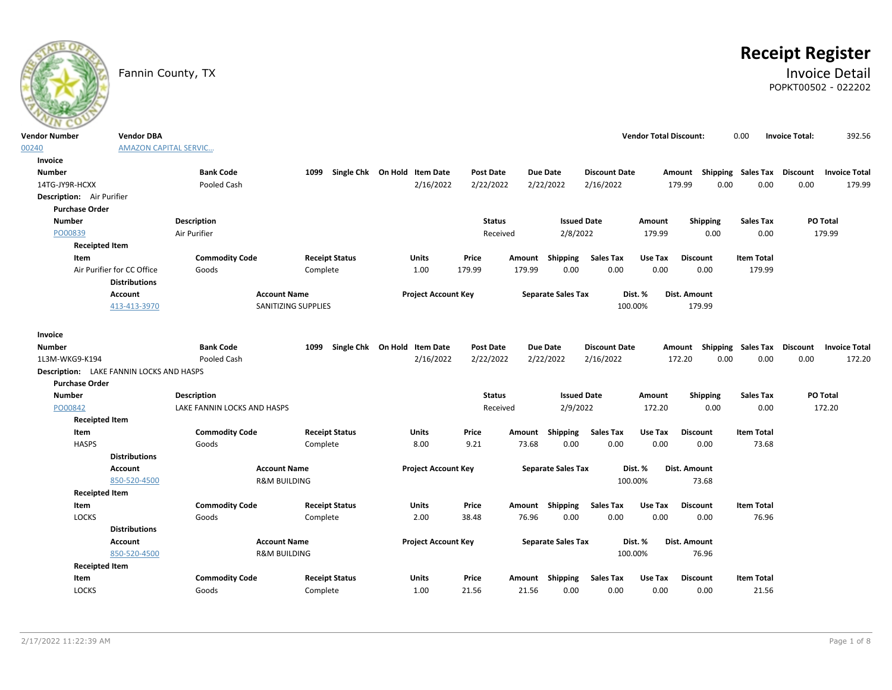

# **Receipt Register**

# Fannin County, TX **Invoice Detail** POPKT00502 - 022202

| <b>Vendor Number</b>                            | <b>Vendor DBA</b>                                  |                             |                                   |                              |                            |                  |        |                           |                      | <b>Vendor Total Discount:</b> |                                    | 0.00                      | <b>Invoice Total:</b> | 392.56               |
|-------------------------------------------------|----------------------------------------------------|-----------------------------|-----------------------------------|------------------------------|----------------------------|------------------|--------|---------------------------|----------------------|-------------------------------|------------------------------------|---------------------------|-----------------------|----------------------|
| 00240                                           | <b>AMAZON CAPITAL SERVIC</b>                       |                             |                                   |                              |                            |                  |        |                           |                      |                               |                                    |                           |                       |                      |
| Invoice                                         |                                                    |                             |                                   |                              |                            |                  |        |                           |                      |                               |                                    |                           |                       |                      |
| <b>Number</b>                                   |                                                    | <b>Bank Code</b>            | 1099 Single Chk On Hold Item Date |                              |                            | Post Date        |        | <b>Due Date</b>           | <b>Discount Date</b> |                               | Amount                             | <b>Shipping Sales Tax</b> | <b>Discount</b>       | <b>Invoice Total</b> |
| 14TG-JY9R-HCXX                                  |                                                    | Pooled Cash                 |                                   |                              | 2/16/2022                  | 2/22/2022        |        | 2/22/2022                 | 2/16/2022            |                               | 179.99<br>0.00                     | 0.00                      | 0.00                  | 179.99               |
| Description: Air Purifier                       |                                                    |                             |                                   |                              |                            |                  |        |                           |                      |                               |                                    |                           |                       |                      |
| <b>Purchase Order</b>                           |                                                    |                             |                                   |                              |                            |                  |        |                           |                      |                               |                                    |                           |                       |                      |
| <b>Number</b>                                   |                                                    | <b>Description</b>          |                                   |                              |                            | <b>Status</b>    |        | <b>Issued Date</b>        |                      | Amount                        | Shipping                           | <b>Sales Tax</b>          |                       | PO Total             |
| PO00839                                         |                                                    | Air Purifier                |                                   |                              |                            | Received         |        | 2/8/2022                  |                      | 179.99                        | 0.00                               | 0.00                      |                       | 179.99               |
| <b>Receipted Item</b>                           |                                                    |                             |                                   |                              |                            |                  |        |                           |                      |                               |                                    |                           |                       |                      |
| Item                                            |                                                    | <b>Commodity Code</b>       | <b>Receipt Status</b>             | <b>Units</b>                 |                            | Price            | Amount | Shipping                  | <b>Sales Tax</b>     | Use Tax                       | <b>Discount</b>                    | <b>Item Total</b>         |                       |                      |
|                                                 | Air Purifier for CC Office<br><b>Distributions</b> | Goods                       | Complete                          |                              | 1.00                       | 179.99           | 179.99 | 0.00                      | 0.00                 | 0.00                          | 0.00                               | 179.99                    |                       |                      |
|                                                 | Account                                            | <b>Account Name</b>         |                                   |                              | <b>Project Account Key</b> |                  |        | <b>Separate Sales Tax</b> |                      | Dist. %                       | Dist. Amount                       |                           |                       |                      |
|                                                 | 413-413-3970                                       |                             | SANITIZING SUPPLIES               |                              |                            |                  |        |                           | 100.00%              |                               | 179.99                             |                           |                       |                      |
|                                                 |                                                    |                             |                                   |                              |                            |                  |        |                           |                      |                               |                                    |                           |                       |                      |
| Invoice                                         |                                                    |                             |                                   |                              |                            |                  |        |                           |                      |                               |                                    |                           |                       |                      |
| <b>Number</b>                                   |                                                    | <b>Bank Code</b>            | 1099                              | Single Chk On Hold Item Date |                            | <b>Post Date</b> |        | <b>Due Date</b>           | <b>Discount Date</b> |                               | Amount Shipping Sales Tax Discount |                           |                       | <b>Invoice Total</b> |
| 1L3M-WKG9-K194                                  |                                                    | Pooled Cash                 |                                   |                              | 2/16/2022                  | 2/22/2022        |        | 2/22/2022                 | 2/16/2022            |                               | 172.20<br>0.00                     | 0.00                      | 0.00                  | 172.20               |
| <b>Description:</b> LAKE FANNIN LOCKS AND HASPS |                                                    |                             |                                   |                              |                            |                  |        |                           |                      |                               |                                    |                           |                       |                      |
| <b>Purchase Order</b>                           |                                                    |                             |                                   |                              |                            |                  |        |                           |                      |                               |                                    |                           |                       |                      |
| <b>Number</b>                                   |                                                    | Description                 |                                   |                              |                            | <b>Status</b>    |        | <b>Issued Date</b>        |                      | Amount                        | Shipping                           | <b>Sales Tax</b>          |                       | PO Total             |
| PO00842                                         |                                                    | LAKE FANNIN LOCKS AND HASPS |                                   |                              |                            | Received         |        | 2/9/2022                  |                      | 172.20                        | 0.00                               | 0.00                      |                       | 172.20               |
| <b>Receipted Item</b>                           |                                                    |                             |                                   |                              |                            |                  |        |                           |                      |                               |                                    |                           |                       |                      |
| Item                                            |                                                    | <b>Commodity Code</b>       | <b>Receipt Status</b>             | <b>Units</b>                 |                            | Price            | Amount | <b>Shipping</b>           | <b>Sales Tax</b>     | Use Tax                       | <b>Discount</b>                    | <b>Item Total</b>         |                       |                      |
| <b>HASPS</b>                                    |                                                    | Goods                       | Complete                          |                              | 8.00                       | 9.21             | 73.68  | 0.00                      | 0.00                 | 0.00                          | 0.00                               | 73.68                     |                       |                      |
|                                                 | <b>Distributions</b>                               |                             |                                   |                              |                            |                  |        |                           |                      |                               |                                    |                           |                       |                      |
|                                                 | Account                                            | <b>Account Name</b>         |                                   |                              | <b>Project Account Key</b> |                  |        | <b>Separate Sales Tax</b> |                      | Dist. %                       | Dist. Amount                       |                           |                       |                      |
|                                                 | 850-520-4500                                       | <b>R&amp;M BUILDING</b>     |                                   |                              |                            |                  |        |                           | 100.00%              |                               | 73.68                              |                           |                       |                      |
| <b>Receipted Item</b>                           |                                                    |                             |                                   |                              |                            |                  |        |                           |                      |                               |                                    |                           |                       |                      |
| Item                                            |                                                    | <b>Commodity Code</b>       | <b>Receipt Status</b>             | Units                        |                            | Price            |        | Amount Shipping           | <b>Sales Tax</b>     | Use Tax                       | <b>Discount</b>                    | <b>Item Total</b>         |                       |                      |
| LOCKS                                           |                                                    | Goods                       | Complete                          |                              | 2.00                       | 38.48            | 76.96  | 0.00                      | 0.00                 | 0.00                          | 0.00                               | 76.96                     |                       |                      |
|                                                 | <b>Distributions</b>                               |                             |                                   |                              |                            |                  |        |                           |                      |                               |                                    |                           |                       |                      |
|                                                 | Account                                            | <b>Account Name</b>         |                                   |                              | <b>Project Account Key</b> |                  |        | <b>Separate Sales Tax</b> |                      | Dist. %                       | Dist. Amount                       |                           |                       |                      |
|                                                 | 850-520-4500                                       | <b>R&amp;M BUILDING</b>     |                                   |                              |                            |                  |        |                           | 100.00%              |                               | 76.96                              |                           |                       |                      |
| <b>Receipted Item</b>                           |                                                    |                             |                                   |                              |                            |                  |        |                           |                      |                               |                                    |                           |                       |                      |
| Item                                            |                                                    | <b>Commodity Code</b>       | <b>Receipt Status</b>             | Units                        |                            | Price            | Amount | <b>Shipping</b>           | Sales Tax            | Use Tax                       | <b>Discount</b>                    | <b>Item Total</b>         |                       |                      |
| <b>LOCKS</b>                                    |                                                    | Goods                       | Complete                          | 1.00                         |                            | 21.56            | 21.56  | 0.00                      | 0.00                 | 0.00                          | 0.00                               | 21.56                     |                       |                      |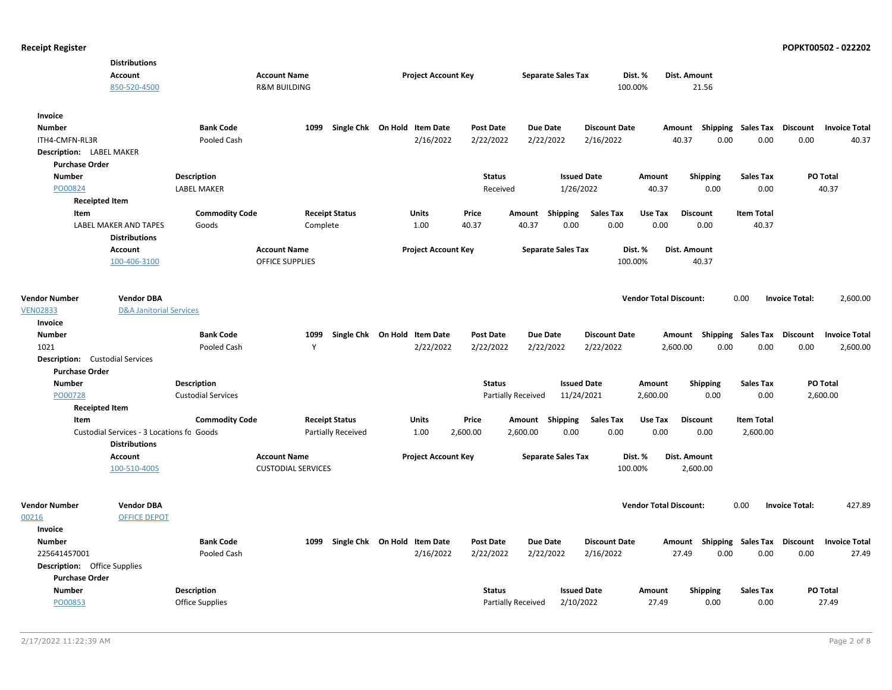|                                        | <b>Distributions</b>                                              |                           |                                                |                           |                              |                  |                    |                           |                      |                               |                                    |                    |                       |                      |
|----------------------------------------|-------------------------------------------------------------------|---------------------------|------------------------------------------------|---------------------------|------------------------------|------------------|--------------------|---------------------------|----------------------|-------------------------------|------------------------------------|--------------------|-----------------------|----------------------|
|                                        | Account<br>850-520-4500                                           |                           | <b>Account Name</b><br><b>R&amp;M BUILDING</b> |                           | <b>Project Account Key</b>   |                  |                    | <b>Separate Sales Tax</b> |                      | Dist. %<br>100.00%            | Dist. Amount<br>21.56              |                    |                       |                      |
|                                        |                                                                   |                           |                                                |                           |                              |                  |                    |                           |                      |                               |                                    |                    |                       |                      |
| Invoice                                |                                                                   |                           |                                                |                           |                              |                  |                    |                           |                      |                               |                                    |                    |                       |                      |
| <b>Number</b>                          |                                                                   | <b>Bank Code</b>          | 1099                                           |                           | Single Chk On Hold Item Date | <b>Post Date</b> |                    | <b>Due Date</b>           | <b>Discount Date</b> |                               | Amount Shipping Sales Tax Discount |                    |                       | <b>Invoice Total</b> |
| ITH4-CMFN-RL3R                         |                                                                   | Pooled Cash               |                                                |                           | 2/16/2022                    | 2/22/2022        |                    | 2/22/2022                 | 2/16/2022            |                               | 40.37<br>0.00                      | 0.00               | 0.00                  | 40.37                |
| Description: LABEL MAKER               |                                                                   |                           |                                                |                           |                              |                  |                    |                           |                      |                               |                                    |                    |                       |                      |
| <b>Purchase Order</b>                  |                                                                   |                           |                                                |                           |                              |                  |                    |                           |                      |                               |                                    |                    |                       |                      |
| <b>Number</b>                          |                                                                   | <b>Description</b>        |                                                |                           |                              | <b>Status</b>    |                    | <b>Issued Date</b>        |                      | Amount                        | <b>Shipping</b>                    | <b>Sales Tax</b>   | PO Total              |                      |
| PO00824                                |                                                                   | <b>LABEL MAKER</b>        |                                                |                           |                              | Received         |                    | 1/26/2022                 |                      | 40.37                         | 0.00                               | 0.00               |                       | 40.37                |
| <b>Receipted Item</b>                  |                                                                   |                           |                                                |                           |                              |                  |                    |                           |                      |                               |                                    |                    |                       |                      |
| Item                                   |                                                                   | <b>Commodity Code</b>     |                                                | <b>Receipt Status</b>     | Units                        | Price            |                    | Amount Shipping           | <b>Sales Tax</b>     | Use Tax                       | <b>Discount</b>                    | <b>Item Total</b>  |                       |                      |
|                                        | LABEL MAKER AND TAPES<br><b>Distributions</b>                     | Goods                     |                                                | Complete                  | 1.00                         | 40.37            | 40.37              | 0.00                      | 0.00                 | 0.00                          | 0.00                               | 40.37              |                       |                      |
|                                        | <b>Account</b>                                                    |                           | <b>Account Name</b>                            |                           | <b>Project Account Key</b>   |                  |                    | <b>Separate Sales Tax</b> |                      | Dist. %                       | Dist. Amount                       |                    |                       |                      |
|                                        | 100-406-3100                                                      |                           | <b>OFFICE SUPPLIES</b>                         |                           |                              |                  |                    |                           |                      | 100.00%                       | 40.37                              |                    |                       |                      |
|                                        |                                                                   |                           |                                                |                           |                              |                  |                    |                           |                      |                               |                                    |                    |                       |                      |
| <b>Vendor Number</b>                   | <b>Vendor DBA</b>                                                 |                           |                                                |                           |                              |                  |                    |                           |                      | <b>Vendor Total Discount:</b> |                                    | 0.00               | <b>Invoice Total:</b> | 2,600.00             |
| <b>VEN02833</b>                        | <b>D&amp;A Janitorial Services</b>                                |                           |                                                |                           |                              |                  |                    |                           |                      |                               |                                    |                    |                       |                      |
| Invoice                                |                                                                   |                           |                                                |                           |                              |                  |                    |                           |                      |                               |                                    |                    |                       |                      |
| <b>Number</b>                          |                                                                   | <b>Bank Code</b>          | 1099                                           |                           | Single Chk On Hold Item Date | <b>Post Date</b> |                    | <b>Due Date</b>           | <b>Discount Date</b> |                               | Amount Shipping Sales Tax Discount |                    |                       | <b>Invoice Total</b> |
| 1021                                   |                                                                   | Pooled Cash               | Y                                              |                           | 2/22/2022                    | 2/22/2022        |                    | 2/22/2022                 | 2/22/2022            |                               | 2,600.00<br>0.00                   | 0.00               | 0.00                  | 2,600.00             |
| <b>Description:</b> Custodial Services |                                                                   |                           |                                                |                           |                              |                  |                    |                           |                      |                               |                                    |                    |                       |                      |
| <b>Purchase Order</b>                  |                                                                   |                           |                                                |                           |                              |                  |                    |                           |                      |                               |                                    |                    |                       |                      |
| Number                                 |                                                                   | <b>Description</b>        |                                                |                           |                              | <b>Status</b>    |                    | <b>Issued Date</b>        |                      | Amount                        | <b>Shipping</b>                    | <b>Sales Tax</b>   | <b>PO Total</b>       |                      |
| PO00728                                |                                                                   | <b>Custodial Services</b> |                                                |                           |                              |                  | Partially Received | 11/24/2021                |                      | 2,600.00                      | 0.00                               | 0.00               | 2,600.00              |                      |
| <b>Receipted Item</b>                  |                                                                   |                           |                                                |                           |                              |                  |                    |                           |                      |                               |                                    |                    |                       |                      |
| Item                                   |                                                                   | <b>Commodity Code</b>     |                                                | <b>Receipt Status</b>     | Units                        | Price            |                    | Amount Shipping           | <b>Sales Tax</b>     | Use Tax                       | <b>Discount</b>                    | <b>Item Total</b>  |                       |                      |
|                                        | Custodial Services - 3 Locations fo Goods<br><b>Distributions</b> |                           |                                                | <b>Partially Received</b> | 1.00                         | 2,600.00         | 2,600.00           | 0.00                      | 0.00                 | 0.00                          | 0.00                               | 2,600.00           |                       |                      |
|                                        | Account                                                           |                           | <b>Account Name</b>                            |                           | <b>Project Account Key</b>   |                  |                    | <b>Separate Sales Tax</b> |                      | Dist. %                       | Dist. Amount                       |                    |                       |                      |
|                                        | 100-510-4005                                                      |                           | <b>CUSTODIAL SERVICES</b>                      |                           |                              |                  |                    |                           |                      | 100.00%                       | 2,600.00                           |                    |                       |                      |
| <b>Vendor Number</b>                   | <b>Vendor DBA</b>                                                 |                           |                                                |                           |                              |                  |                    |                           |                      | <b>Vendor Total Discount:</b> |                                    | 0.00               | <b>Invoice Total:</b> | 427.89               |
| 00216                                  | <b>OFFICE DEPOT</b>                                               |                           |                                                |                           |                              |                  |                    |                           |                      |                               |                                    |                    |                       |                      |
| Invoice                                |                                                                   |                           |                                                |                           |                              |                  |                    |                           |                      |                               |                                    |                    |                       |                      |
| <b>Number</b>                          |                                                                   | <b>Bank Code</b>          | 1099                                           |                           | Single Chk On Hold Item Date | <b>Post Date</b> |                    | <b>Due Date</b>           | <b>Discount Date</b> |                               | Amount                             | Shipping Sales Tax | Discount              | <b>Invoice Total</b> |
| 225641457001                           |                                                                   | Pooled Cash               |                                                |                           | 2/16/2022                    | 2/22/2022        |                    | 2/22/2022                 | 2/16/2022            |                               | 27.49<br>0.00                      | 0.00               | 0.00                  | 27.49                |
| <b>Description:</b> Office Supplies    |                                                                   |                           |                                                |                           |                              |                  |                    |                           |                      |                               |                                    |                    |                       |                      |
| <b>Purchase Order</b>                  |                                                                   |                           |                                                |                           |                              |                  |                    |                           |                      |                               |                                    |                    |                       |                      |
| <b>Number</b>                          |                                                                   | <b>Description</b>        |                                                |                           |                              | <b>Status</b>    |                    | <b>Issued Date</b>        |                      | Amount                        | <b>Shipping</b>                    | <b>Sales Tax</b>   | PO Total              |                      |
| PO00853                                |                                                                   | Office Supplies           |                                                |                           |                              |                  | Partially Received | 2/10/2022                 |                      | 27.49                         | 0.00                               | 0.00               |                       | 27.49                |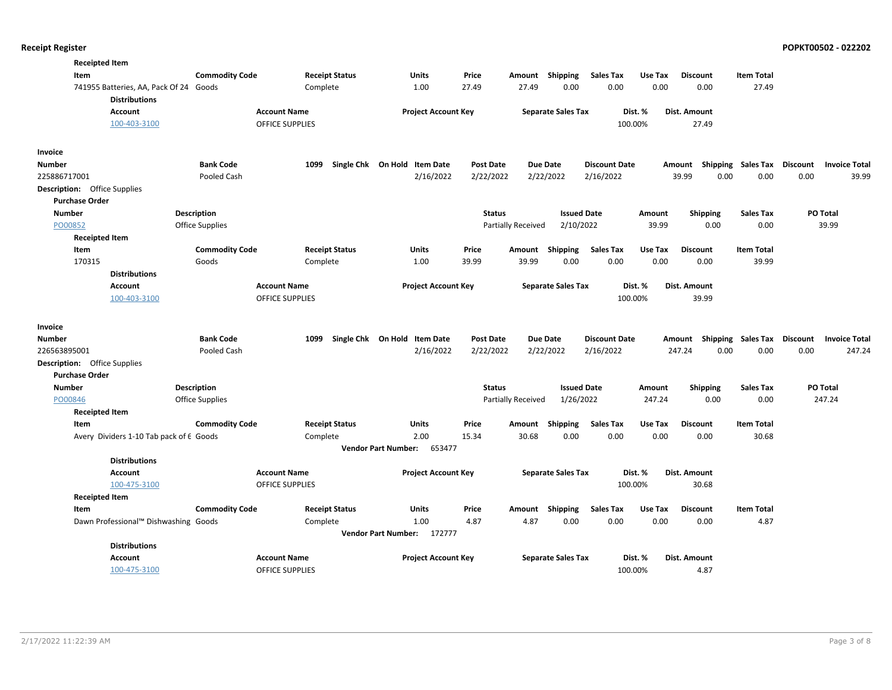| <b>Receipted Item</b>                                          |                       |                        |                                              |                  |                           |                              |         |                 |                             |                                         |
|----------------------------------------------------------------|-----------------------|------------------------|----------------------------------------------|------------------|---------------------------|------------------------------|---------|-----------------|-----------------------------|-----------------------------------------|
| Item                                                           | <b>Commodity Code</b> | <b>Receipt Status</b>  | Units                                        | Price            | Amount Shipping           | <b>Sales Tax</b>             | Use Tax | <b>Discount</b> | <b>Item Total</b>           |                                         |
| 741955 Batteries, AA, Pack Of 24 Goods<br><b>Distributions</b> |                       | Complete               | 1.00                                         | 27.49            | 27.49                     | 0.00<br>0.00                 | 0.00    | 0.00            | 27.49                       |                                         |
| <b>Account</b>                                                 |                       | <b>Account Name</b>    | <b>Project Account Key</b>                   |                  | <b>Separate Sales Tax</b> |                              | Dist. % | Dist. Amount    |                             |                                         |
| 100-403-3100                                                   |                       | <b>OFFICE SUPPLIES</b> |                                              |                  |                           |                              | 100.00% | 27.49           |                             |                                         |
| Invoice                                                        |                       |                        |                                              |                  |                           |                              |         |                 |                             |                                         |
| Number                                                         | <b>Bank Code</b>      | 1099                   | Single Chk On Hold Item Date                 | <b>Post Date</b> | <b>Due Date</b>           | <b>Discount Date</b>         |         | Amount          | Shipping Sales Tax          | <b>Discount</b><br><b>Invoice Total</b> |
| 225886717001                                                   | Pooled Cash           |                        | 2/16/2022                                    | 2/22/2022        | 2/22/2022                 | 2/16/2022                    |         | 39.99<br>0.00   | 0.00                        | 0.00<br>39.99                           |
| <b>Description:</b> Office Supplies<br><b>Purchase Order</b>   |                       |                        |                                              |                  |                           |                              |         |                 |                             |                                         |
| <b>Number</b>                                                  | Description           |                        |                                              | <b>Status</b>    |                           | <b>Issued Date</b>           | Amount  | <b>Shipping</b> | <b>Sales Tax</b>            | PO Total                                |
| PO00852                                                        | Office Supplies       |                        |                                              |                  | <b>Partially Received</b> | 2/10/2022                    | 39.99   | 0.00            | 0.00                        | 39.99                                   |
| <b>Receipted Item</b>                                          |                       |                        |                                              |                  |                           |                              |         |                 |                             |                                         |
| Item                                                           | <b>Commodity Code</b> | <b>Receipt Status</b>  | Units                                        | Price            | Amount                    | Shipping<br><b>Sales Tax</b> | Use Tax | <b>Discount</b> | <b>Item Total</b>           |                                         |
| 170315                                                         | Goods                 | Complete               | 1.00                                         | 39.99            | 39.99                     | 0.00<br>0.00                 | 0.00    | 0.00            | 39.99                       |                                         |
| <b>Distributions</b>                                           |                       |                        |                                              |                  |                           |                              |         |                 |                             |                                         |
| <b>Account</b>                                                 |                       | <b>Account Name</b>    | <b>Project Account Key</b>                   |                  | <b>Separate Sales Tax</b> |                              | Dist. % | Dist. Amount    |                             |                                         |
| 100-403-3100                                                   |                       | <b>OFFICE SUPPLIES</b> |                                              |                  |                           |                              | 100.00% | 39.99           |                             |                                         |
| Invoice                                                        |                       |                        |                                              |                  |                           |                              |         |                 |                             |                                         |
| Number                                                         | <b>Bank Code</b>      | 1099                   | Single Chk On Hold Item Date                 | <b>Post Date</b> | <b>Due Date</b>           | <b>Discount Date</b>         |         | Amount          | Shipping Sales Tax Discount | <b>Invoice Total</b>                    |
| 226563895001                                                   | Pooled Cash           |                        | 2/16/2022                                    | 2/22/2022        | 2/22/2022                 | 2/16/2022                    |         | 247.24<br>0.00  | 0.00                        | 0.00<br>247.24                          |
| <b>Description:</b> Office Supplies                            |                       |                        |                                              |                  |                           |                              |         |                 |                             |                                         |
| <b>Purchase Order</b>                                          |                       |                        |                                              |                  |                           |                              |         |                 |                             |                                         |
| Number                                                         | <b>Description</b>    |                        |                                              | <b>Status</b>    |                           | <b>Issued Date</b>           | Amount  | <b>Shipping</b> | <b>Sales Tax</b>            | PO Total                                |
| PO00846                                                        | Office Supplies       |                        |                                              |                  | Partially Received        | 1/26/2022                    | 247.24  | 0.00            | 0.00                        | 247.24                                  |
| <b>Receipted Item</b>                                          |                       |                        |                                              |                  |                           |                              |         |                 |                             |                                         |
| Item                                                           | <b>Commodity Code</b> | <b>Receipt Status</b>  | Units                                        | Price            | Amount                    | Shipping<br><b>Sales Tax</b> | Use Tax | <b>Discount</b> | <b>Item Total</b>           |                                         |
| Avery Dividers 1-10 Tab pack of 6 Goods                        |                       | Complete               | 2.00<br><b>Vendor Part Number:</b><br>653477 | 15.34            | 30.68                     | 0.00<br>0.00                 | 0.00    | 0.00            | 30.68                       |                                         |
| <b>Distributions</b>                                           |                       |                        |                                              |                  |                           |                              |         |                 |                             |                                         |
| Account                                                        |                       | <b>Account Name</b>    | <b>Project Account Key</b>                   |                  | <b>Separate Sales Tax</b> |                              | Dist. % | Dist. Amount    |                             |                                         |
| 100-475-3100                                                   |                       | <b>OFFICE SUPPLIES</b> |                                              |                  |                           |                              | 100.00% | 30.68           |                             |                                         |
| <b>Receipted Item</b>                                          |                       |                        |                                              |                  |                           |                              |         |                 |                             |                                         |
| Item                                                           | <b>Commodity Code</b> | <b>Receipt Status</b>  | Units                                        | Price            | Amount                    | Shipping<br><b>Sales Tax</b> | Use Tax | <b>Discount</b> | <b>Item Total</b>           |                                         |
| Dawn Professional™ Dishwashing Goods                           |                       | Complete               | 1.00                                         | 4.87             | 4.87                      | 0.00<br>0.00                 | 0.00    | 0.00            | 4.87                        |                                         |
|                                                                |                       |                        | Vendor Part Number: 172777                   |                  |                           |                              |         |                 |                             |                                         |
| <b>Distributions</b><br><b>Account</b>                         |                       | <b>Account Name</b>    | <b>Project Account Key</b>                   |                  | <b>Separate Sales Tax</b> |                              | Dist. % | Dist. Amount    |                             |                                         |
| 100-475-3100                                                   |                       | <b>OFFICE SUPPLIES</b> |                                              |                  |                           |                              | 100.00% | 4.87            |                             |                                         |
|                                                                |                       |                        |                                              |                  |                           |                              |         |                 |                             |                                         |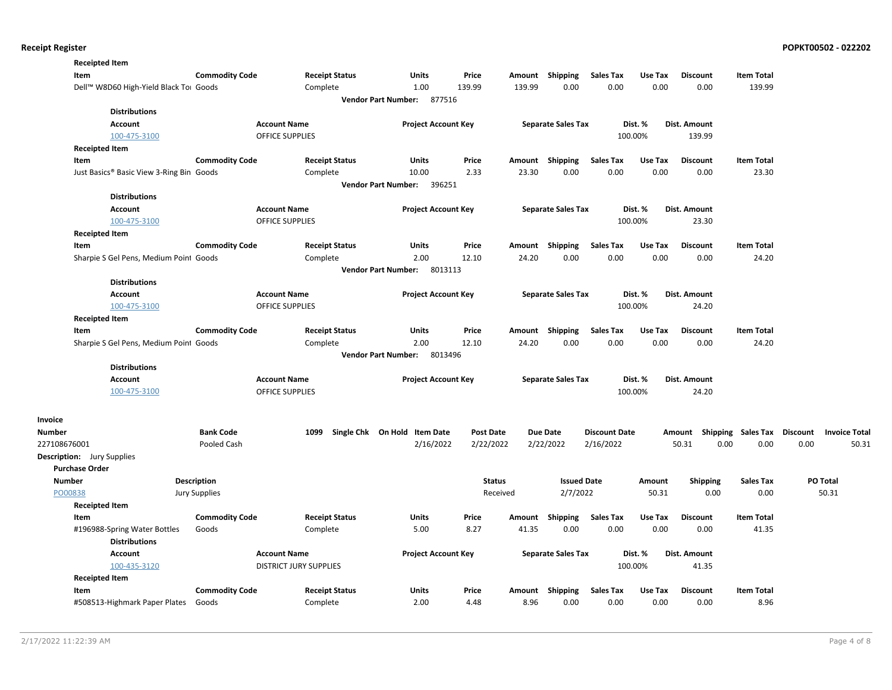|                                   | <b>Receipted Item</b>                    |                       |                               |                                       |                  |        |                           |                      |         |                                    |                   |                      |
|-----------------------------------|------------------------------------------|-----------------------|-------------------------------|---------------------------------------|------------------|--------|---------------------------|----------------------|---------|------------------------------------|-------------------|----------------------|
| Item                              |                                          | <b>Commodity Code</b> | <b>Receipt Status</b>         | <b>Units</b>                          | Price            |        | Amount Shipping           | <b>Sales Tax</b>     | Use Tax | <b>Discount</b>                    | <b>Item Total</b> |                      |
|                                   | Dell™ W8D60 High-Yield Black To⊢ Goods   |                       | Complete                      | 1.00                                  | 139.99           | 139.99 | 0.00                      | 0.00                 | 0.00    | 0.00                               | 139.99            |                      |
|                                   |                                          |                       |                               | Vendor Part Number: 877516            |                  |        |                           |                      |         |                                    |                   |                      |
|                                   | <b>Distributions</b>                     |                       |                               |                                       |                  |        |                           |                      |         |                                    |                   |                      |
|                                   | <b>Account</b>                           |                       | <b>Account Name</b>           | <b>Project Account Key</b>            |                  |        | <b>Separate Sales Tax</b> |                      | Dist. % | Dist. Amount                       |                   |                      |
|                                   | 100-475-3100                             |                       | OFFICE SUPPLIES               |                                       |                  |        |                           |                      | 100.00% | 139.99                             |                   |                      |
|                                   | <b>Receipted Item</b>                    |                       |                               |                                       |                  |        |                           |                      |         |                                    |                   |                      |
| Item                              |                                          | <b>Commodity Code</b> | <b>Receipt Status</b>         | <b>Units</b>                          | Price            | Amount | Shipping                  | <b>Sales Tax</b>     | Use Tax | <b>Discount</b>                    | <b>Item Total</b> |                      |
|                                   | Just Basics® Basic View 3-Ring Bin Goods |                       | Complete                      | 10.00                                 | 2.33             | 23.30  | 0.00                      | 0.00                 | 0.00    | 0.00                               | 23.30             |                      |
|                                   |                                          |                       |                               | Vendor Part Number: 396251            |                  |        |                           |                      |         |                                    |                   |                      |
|                                   | <b>Distributions</b>                     |                       |                               |                                       |                  |        |                           |                      |         |                                    |                   |                      |
|                                   | <b>Account</b>                           |                       | <b>Account Name</b>           | <b>Project Account Key</b>            |                  |        | <b>Separate Sales Tax</b> |                      | Dist. % | Dist. Amount                       |                   |                      |
|                                   | 100-475-3100                             |                       | <b>OFFICE SUPPLIES</b>        |                                       |                  |        |                           |                      | 100.00% | 23.30                              |                   |                      |
|                                   | <b>Receipted Item</b>                    |                       |                               |                                       |                  |        |                           |                      |         |                                    |                   |                      |
| Item                              |                                          | <b>Commodity Code</b> | <b>Receipt Status</b>         | <b>Units</b>                          | Price            |        | Amount Shipping           | <b>Sales Tax</b>     | Use Tax | <b>Discount</b>                    | <b>Item Total</b> |                      |
|                                   | Sharpie S Gel Pens, Medium Point Goods   |                       | Complete                      | 2.00                                  | 12.10            | 24.20  | 0.00                      | 0.00                 | 0.00    | 0.00                               | 24.20             |                      |
|                                   |                                          |                       |                               | 8013113<br><b>Vendor Part Number:</b> |                  |        |                           |                      |         |                                    |                   |                      |
|                                   | <b>Distributions</b>                     |                       |                               |                                       |                  |        |                           |                      |         |                                    |                   |                      |
|                                   | <b>Account</b>                           |                       | <b>Account Name</b>           | <b>Project Account Key</b>            |                  |        | <b>Separate Sales Tax</b> |                      | Dist. % | Dist. Amount                       |                   |                      |
|                                   | 100-475-3100                             |                       | <b>OFFICE SUPPLIES</b>        |                                       |                  |        |                           |                      | 100.00% | 24.20                              |                   |                      |
|                                   | <b>Receipted Item</b>                    |                       |                               |                                       |                  |        |                           |                      |         |                                    |                   |                      |
| Item                              |                                          | <b>Commodity Code</b> | <b>Receipt Status</b>         | Units                                 | Price            | Amount | Shipping                  | <b>Sales Tax</b>     | Use Tax | <b>Discount</b>                    | <b>Item Total</b> |                      |
|                                   | Sharpie S Gel Pens, Medium Point Goods   |                       | Complete                      | 2.00                                  | 12.10            | 24.20  | 0.00                      | 0.00                 | 0.00    | 0.00                               | 24.20             |                      |
|                                   |                                          |                       |                               | <b>Vendor Part Number:</b><br>8013496 |                  |        |                           |                      |         |                                    |                   |                      |
|                                   | <b>Distributions</b>                     |                       |                               |                                       |                  |        |                           |                      |         |                                    |                   |                      |
|                                   | <b>Account</b>                           |                       | <b>Account Name</b>           | <b>Project Account Key</b>            |                  |        | <b>Separate Sales Tax</b> |                      | Dist. % | Dist. Amount                       |                   |                      |
|                                   | 100-475-3100                             |                       | <b>OFFICE SUPPLIES</b>        |                                       |                  |        |                           |                      | 100.00% | 24.20                              |                   |                      |
| Invoice                           |                                          |                       |                               |                                       |                  |        |                           |                      |         |                                    |                   |                      |
| Number                            |                                          | <b>Bank Code</b>      | 1099                          | Single Chk On Hold Item Date          | <b>Post Date</b> |        | <b>Due Date</b>           | <b>Discount Date</b> |         | Amount Shipping Sales Tax Discount |                   | <b>Invoice Total</b> |
| 227108676001                      |                                          | Pooled Cash           |                               | 2/16/2022                             | 2/22/2022        |        | 2/22/2022                 | 2/16/2022            |         | 0.00<br>50.31                      | 0.00              | 0.00<br>50.31        |
| <b>Description:</b> Jury Supplies |                                          |                       |                               |                                       |                  |        |                           |                      |         |                                    |                   |                      |
| <b>Purchase Order</b>             |                                          |                       |                               |                                       |                  |        |                           |                      |         |                                    |                   |                      |
| <b>Number</b>                     |                                          | <b>Description</b>    |                               |                                       | <b>Status</b>    |        | <b>Issued Date</b>        |                      | Amount  | <b>Shipping</b>                    | <b>Sales Tax</b>  | PO Total             |
| PO00838                           |                                          | <b>Jury Supplies</b>  |                               |                                       | Received         |        | 2/7/2022                  |                      | 50.31   | 0.00                               | 0.00              | 50.31                |
|                                   | <b>Receipted Item</b>                    |                       |                               |                                       |                  |        |                           |                      |         |                                    |                   |                      |
| Item                              |                                          | <b>Commodity Code</b> | <b>Receipt Status</b>         | Units                                 | Price            | Amount | Shipping                  | <b>Sales Tax</b>     | Use Tax | <b>Discount</b>                    | <b>Item Total</b> |                      |
|                                   | #196988-Spring Water Bottles             | Goods                 | Complete                      | 5.00                                  | 8.27             | 41.35  | 0.00                      | 0.00                 | 0.00    | 0.00                               | 41.35             |                      |
|                                   | <b>Distributions</b>                     |                       |                               |                                       |                  |        |                           |                      |         |                                    |                   |                      |
|                                   | <b>Account</b>                           |                       | <b>Account Name</b>           | <b>Project Account Key</b>            |                  |        | <b>Separate Sales Tax</b> |                      | Dist. % | Dist. Amount                       |                   |                      |
|                                   | 100-435-3120                             |                       | <b>DISTRICT JURY SUPPLIES</b> |                                       |                  |        |                           |                      | 100.00% | 41.35                              |                   |                      |
|                                   | <b>Receipted Item</b>                    |                       |                               |                                       |                  |        |                           |                      |         |                                    |                   |                      |
| Item                              |                                          | <b>Commodity Code</b> | <b>Receipt Status</b>         | <b>Units</b>                          | Price            |        | Amount Shipping           | <b>Sales Tax</b>     | Use Tax | <b>Discount</b>                    | <b>Item Total</b> |                      |
|                                   | #508513-Highmark Paper Plates            | Goods                 | Complete                      | 2.00                                  | 4.48             | 8.96   | 0.00                      | 0.00                 | 0.00    | 0.00                               | 8.96              |                      |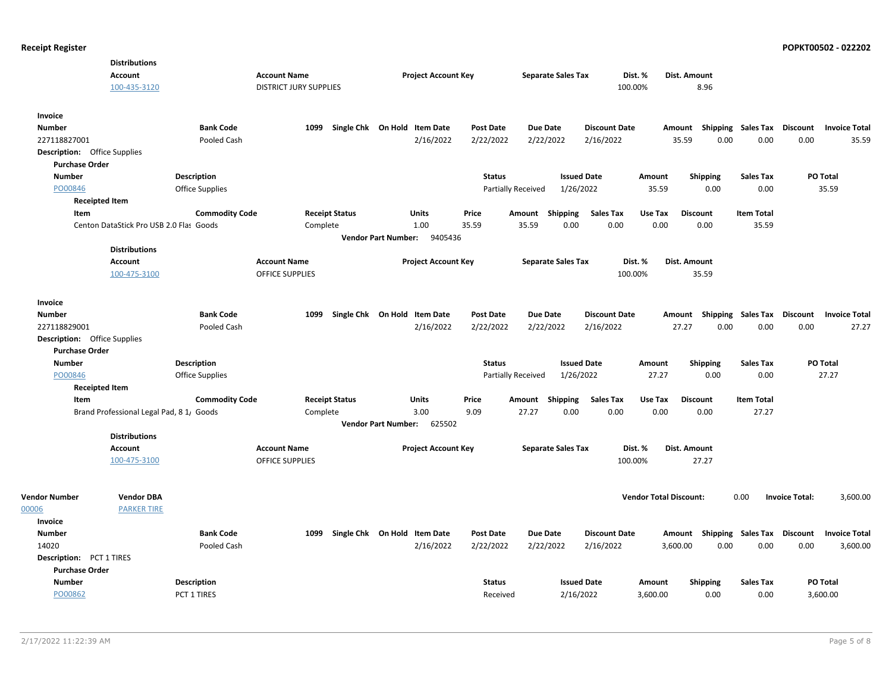|                                     | <b>Distributions</b>                     |                        |                               |                              |                            |                            |                  |                           |                           |                      |                               |                                    |                             |                       |                      |
|-------------------------------------|------------------------------------------|------------------------|-------------------------------|------------------------------|----------------------------|----------------------------|------------------|---------------------------|---------------------------|----------------------|-------------------------------|------------------------------------|-----------------------------|-----------------------|----------------------|
|                                     | Account                                  |                        | <b>Account Name</b>           |                              |                            | <b>Project Account Key</b> |                  |                           | <b>Separate Sales Tax</b> |                      | Dist. %                       | Dist. Amount                       |                             |                       |                      |
|                                     | 100-435-3120                             |                        | <b>DISTRICT JURY SUPPLIES</b> |                              |                            |                            |                  |                           |                           | 100.00%              |                               | 8.96                               |                             |                       |                      |
| Invoice                             |                                          |                        |                               |                              |                            |                            |                  |                           |                           |                      |                               |                                    |                             |                       |                      |
| <b>Number</b>                       |                                          | <b>Bank Code</b>       | 1099                          | Single Chk On Hold Item Date |                            |                            | <b>Post Date</b> | <b>Due Date</b>           |                           | <b>Discount Date</b> | Amount                        |                                    | Shipping Sales Tax Discount |                       | <b>Invoice Total</b> |
| 227118827001                        |                                          | Pooled Cash            |                               |                              |                            | 2/16/2022                  | 2/22/2022        | 2/22/2022                 |                           | 2/16/2022            | 35.59                         | 0.00                               | 0.00                        | 0.00                  | 35.59                |
| <b>Description:</b> Office Supplies |                                          |                        |                               |                              |                            |                            |                  |                           |                           |                      |                               |                                    |                             |                       |                      |
| <b>Purchase Order</b>               |                                          |                        |                               |                              |                            |                            |                  |                           |                           |                      |                               |                                    |                             |                       |                      |
| <b>Number</b>                       |                                          | <b>Description</b>     |                               |                              |                            |                            | <b>Status</b>    |                           | <b>Issued Date</b>        |                      | Amount                        | <b>Shipping</b>                    | <b>Sales Tax</b>            | PO Total              |                      |
| PO00846                             |                                          | <b>Office Supplies</b> |                               |                              |                            |                            |                  | <b>Partially Received</b> | 1/26/2022                 |                      | 35.59                         | 0.00                               | 0.00                        |                       | 35.59                |
| <b>Receipted Item</b>               |                                          |                        |                               |                              |                            |                            |                  |                           |                           |                      |                               |                                    |                             |                       |                      |
| Item                                |                                          | <b>Commodity Code</b>  |                               | <b>Receipt Status</b>        |                            | <b>Units</b>               | Price            | Amount Shipping           |                           | <b>Sales Tax</b>     | Use Tax                       | <b>Discount</b>                    | <b>Item Total</b>           |                       |                      |
|                                     | Centon DataStick Pro USB 2.0 Flas Goods  |                        | Complete                      |                              |                            | 1.00                       | 35.59            | 35.59                     | 0.00                      | 0.00                 | 0.00                          | 0.00                               | 35.59                       |                       |                      |
|                                     |                                          |                        |                               |                              | <b>Vendor Part Number:</b> | 9405436                    |                  |                           |                           |                      |                               |                                    |                             |                       |                      |
|                                     | <b>Distributions</b>                     |                        |                               |                              |                            |                            |                  |                           |                           |                      |                               |                                    |                             |                       |                      |
|                                     | Account                                  |                        | <b>Account Name</b>           |                              |                            | <b>Project Account Key</b> |                  |                           | <b>Separate Sales Tax</b> |                      | Dist. %                       | Dist. Amount                       |                             |                       |                      |
|                                     | 100-475-3100                             |                        | <b>OFFICE SUPPLIES</b>        |                              |                            |                            |                  |                           |                           | 100.00%              |                               | 35.59                              |                             |                       |                      |
|                                     |                                          |                        |                               |                              |                            |                            |                  |                           |                           |                      |                               |                                    |                             |                       |                      |
| <b>Invoice</b>                      |                                          |                        |                               |                              |                            |                            |                  |                           |                           |                      |                               |                                    |                             |                       |                      |
| <b>Number</b>                       |                                          | <b>Bank Code</b>       | 1099                          | Single Chk On Hold Item Date |                            |                            | <b>Post Date</b> | <b>Due Date</b>           |                           | <b>Discount Date</b> | Amount                        |                                    | <b>Shipping Sales Tax</b>   | <b>Discount</b>       | <b>Invoice Total</b> |
| 227118829001                        |                                          | Pooled Cash            |                               |                              |                            | 2/16/2022                  | 2/22/2022        | 2/22/2022                 |                           | 2/16/2022            | 27.27                         | 0.00                               | 0.00                        | 0.00                  | 27.27                |
| <b>Description:</b> Office Supplies |                                          |                        |                               |                              |                            |                            |                  |                           |                           |                      |                               |                                    |                             |                       |                      |
| <b>Purchase Order</b>               |                                          |                        |                               |                              |                            |                            |                  |                           |                           |                      |                               |                                    |                             |                       |                      |
| <b>Number</b>                       |                                          | <b>Description</b>     |                               |                              |                            |                            | <b>Status</b>    |                           | <b>Issued Date</b>        |                      | Amount                        | Shipping                           | <b>Sales Tax</b>            | PO Total              |                      |
| PO00846                             |                                          | <b>Office Supplies</b> |                               |                              |                            |                            |                  | <b>Partially Received</b> | 1/26/2022                 |                      | 27.27                         | 0.00                               | 0.00                        |                       | 27.27                |
| <b>Receipted Item</b>               |                                          |                        |                               |                              |                            |                            |                  |                           |                           |                      |                               |                                    |                             |                       |                      |
| Item                                |                                          | <b>Commodity Code</b>  |                               | <b>Receipt Status</b>        |                            | Units                      | Price            | Amount Shipping           |                           | Sales Tax            | Use Tax                       | <b>Discount</b>                    | <b>Item Total</b>           |                       |                      |
|                                     | Brand Professional Legal Pad, 8 1/ Goods |                        | Complete                      |                              |                            | 3.00                       | 9.09             | 27.27                     | 0.00                      | 0.00                 | 0.00                          | 0.00                               | 27.27                       |                       |                      |
|                                     |                                          |                        |                               |                              | <b>Vendor Part Number:</b> | 625502                     |                  |                           |                           |                      |                               |                                    |                             |                       |                      |
|                                     | <b>Distributions</b>                     |                        |                               |                              |                            |                            |                  |                           |                           |                      |                               |                                    |                             |                       |                      |
|                                     | Account                                  |                        | <b>Account Name</b>           |                              |                            | <b>Project Account Key</b> |                  |                           | <b>Separate Sales Tax</b> |                      | Dist. %                       | Dist. Amount                       |                             |                       |                      |
|                                     | 100-475-3100                             |                        | <b>OFFICE SUPPLIES</b>        |                              |                            |                            |                  |                           |                           | 100.00%              |                               | 27.27                              |                             |                       |                      |
|                                     |                                          |                        |                               |                              |                            |                            |                  |                           |                           |                      |                               |                                    |                             |                       |                      |
|                                     |                                          |                        |                               |                              |                            |                            |                  |                           |                           |                      | <b>Vendor Total Discount:</b> |                                    |                             |                       |                      |
| <b>Vendor Number</b>                | <b>Vendor DBA</b>                        |                        |                               |                              |                            |                            |                  |                           |                           |                      |                               |                                    | 0.00                        | <b>Invoice Total:</b> | 3,600.00             |
| 00006                               | <b>PARKER TIRE</b>                       |                        |                               |                              |                            |                            |                  |                           |                           |                      |                               |                                    |                             |                       |                      |
| Invoice                             |                                          |                        |                               |                              |                            |                            |                  |                           |                           |                      |                               |                                    |                             |                       |                      |
| <b>Number</b>                       |                                          | <b>Bank Code</b>       | 1099                          | Single Chk On Hold Item Date |                            |                            | <b>Post Date</b> | <b>Due Date</b>           |                           | <b>Discount Date</b> |                               | Amount Shipping Sales Tax Discount |                             |                       | <b>Invoice Total</b> |
| 14020                               |                                          | Pooled Cash            |                               |                              |                            | 2/16/2022                  | 2/22/2022        | 2/22/2022                 |                           | 2/16/2022            | 3,600.00                      | 0.00                               | 0.00                        | 0.00                  | 3,600.00             |
| Description: PCT 1 TIRES            |                                          |                        |                               |                              |                            |                            |                  |                           |                           |                      |                               |                                    |                             |                       |                      |
| <b>Purchase Order</b>               |                                          |                        |                               |                              |                            |                            |                  |                           |                           |                      |                               |                                    |                             |                       |                      |
| <b>Number</b>                       |                                          | <b>Description</b>     |                               |                              |                            |                            | <b>Status</b>    |                           | <b>Issued Date</b>        |                      | Amount                        | <b>Shipping</b>                    | <b>Sales Tax</b>            | PO Total              |                      |
| PO00862                             |                                          | PCT 1 TIRES            |                               |                              |                            |                            | Received         |                           | 2/16/2022                 |                      | 3,600.00                      | 0.00                               | 0.00                        | 3,600.00              |                      |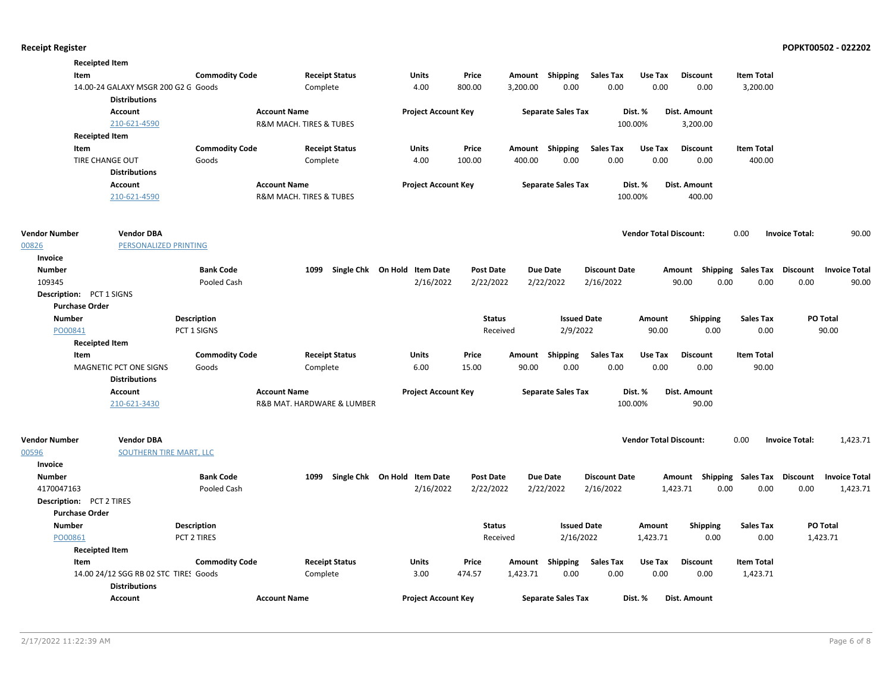|                          | <b>Receipted Item</b>                                       |                                |                         |                            |                              |                  |          |                           |                          |                               |                                    |                             |                       |                      |
|--------------------------|-------------------------------------------------------------|--------------------------------|-------------------------|----------------------------|------------------------------|------------------|----------|---------------------------|--------------------------|-------------------------------|------------------------------------|-----------------------------|-----------------------|----------------------|
| Item                     |                                                             | <b>Commodity Code</b>          |                         | <b>Receipt Status</b>      | Units                        | Price            |          | Amount Shipping           | <b>Sales Tax</b>         | Use Tax                       | <b>Discount</b>                    | <b>Item Total</b>           |                       |                      |
|                          | 14.00-24 GALAXY MSGR 200 G2 G Goods<br><b>Distributions</b> |                                |                         | Complete                   | 4.00                         | 800.00           | 3,200.00 | 0.00                      | 0.00                     | 0.00                          | 0.00                               | 3,200.00                    |                       |                      |
|                          | Account                                                     |                                | <b>Account Name</b>     |                            | <b>Project Account Key</b>   |                  |          | <b>Separate Sales Tax</b> |                          | Dist. %                       | Dist. Amount                       |                             |                       |                      |
|                          | 210-621-4590                                                |                                | R&M MACH. TIRES & TUBES |                            |                              |                  |          |                           |                          | 100.00%                       | 3,200.00                           |                             |                       |                      |
|                          | <b>Receipted Item</b>                                       |                                |                         |                            |                              |                  |          |                           |                          |                               |                                    |                             |                       |                      |
|                          |                                                             |                                |                         |                            | <b>Units</b>                 |                  |          |                           |                          |                               |                                    |                             |                       |                      |
| Item                     | <b>TIRE CHANGE OUT</b>                                      | <b>Commodity Code</b><br>Goods |                         | <b>Receipt Status</b>      | 4.00                         | Price<br>100.00  | 400.00   | Amount Shipping           | <b>Sales Tax</b><br>0.00 | Use Tax<br>0.00               | <b>Discount</b><br>0.00            | <b>Item Total</b><br>400.00 |                       |                      |
|                          | <b>Distributions</b>                                        |                                |                         | Complete                   |                              |                  |          | 0.00                      |                          |                               |                                    |                             |                       |                      |
|                          |                                                             |                                |                         |                            |                              |                  |          |                           |                          |                               |                                    |                             |                       |                      |
|                          | Account                                                     |                                | <b>Account Name</b>     |                            | <b>Project Account Key</b>   |                  |          | <b>Separate Sales Tax</b> |                          | Dist. %                       | Dist. Amount                       |                             |                       |                      |
|                          | 210-621-4590                                                |                                | R&M MACH. TIRES & TUBES |                            |                              |                  |          |                           |                          | 100.00%                       | 400.00                             |                             |                       |                      |
| <b>Vendor Number</b>     | <b>Vendor DBA</b>                                           |                                |                         |                            |                              |                  |          |                           |                          | <b>Vendor Total Discount:</b> |                                    | 0.00                        | <b>Invoice Total:</b> | 90.00                |
| 00826                    | PERSONALIZED PRINTING                                       |                                |                         |                            |                              |                  |          |                           |                          |                               |                                    |                             |                       |                      |
| Invoice                  |                                                             |                                |                         |                            |                              |                  |          |                           |                          |                               |                                    |                             |                       |                      |
| <b>Number</b>            |                                                             | <b>Bank Code</b>               |                         | 1099                       | Single Chk On Hold Item Date | <b>Post Date</b> |          | <b>Due Date</b>           | <b>Discount Date</b>     |                               | Amount Shipping Sales Tax Discount |                             |                       | <b>Invoice Total</b> |
| 109345                   |                                                             | Pooled Cash                    |                         |                            | 2/16/2022                    | 2/22/2022        |          | 2/22/2022                 | 2/16/2022                |                               | 90.00<br>0.00                      | 0.00                        | 0.00                  | 90.00                |
| Description: PCT 1 SIGNS |                                                             |                                |                         |                            |                              |                  |          |                           |                          |                               |                                    |                             |                       |                      |
| <b>Purchase Order</b>    |                                                             |                                |                         |                            |                              |                  |          |                           |                          |                               |                                    |                             |                       |                      |
| <b>Number</b>            |                                                             | <b>Description</b>             |                         |                            |                              | <b>Status</b>    |          | <b>Issued Date</b>        |                          | Amount                        | <b>Shipping</b>                    | <b>Sales Tax</b>            |                       | PO Total             |
| PO00841                  |                                                             | PCT 1 SIGNS                    |                         |                            |                              |                  | Received | 2/9/2022                  |                          | 90.00                         | 0.00                               | 0.00                        |                       | 90.00                |
|                          | <b>Receipted Item</b>                                       |                                |                         |                            |                              |                  |          |                           |                          |                               |                                    |                             |                       |                      |
| Item                     |                                                             | <b>Commodity Code</b>          |                         | <b>Receipt Status</b>      | Units                        | Price            | Amount   | Shipping                  | <b>Sales Tax</b>         | Use Tax                       | <b>Discount</b>                    | <b>Item Total</b>           |                       |                      |
|                          | MAGNETIC PCT ONE SIGNS                                      | Goods                          |                         | Complete                   | 6.00                         | 15.00            | 90.00    | 0.00                      | 0.00                     | 0.00                          | 0.00                               | 90.00                       |                       |                      |
|                          | <b>Distributions</b>                                        |                                |                         |                            |                              |                  |          |                           |                          |                               |                                    |                             |                       |                      |
|                          | <b>Account</b>                                              |                                | <b>Account Name</b>     |                            | <b>Project Account Key</b>   |                  |          | <b>Separate Sales Tax</b> |                          | Dist. %                       | <b>Dist. Amount</b>                |                             |                       |                      |
|                          | 210-621-3430                                                |                                |                         | R&B MAT. HARDWARE & LUMBER |                              |                  |          |                           |                          | 100.00%                       | 90.00                              |                             |                       |                      |
| <b>Vendor Number</b>     | <b>Vendor DBA</b>                                           |                                |                         |                            |                              |                  |          |                           |                          | <b>Vendor Total Discount:</b> |                                    | 0.00                        | <b>Invoice Total:</b> | 1,423.71             |
| 00596                    | SOUTHERN TIRE MART, LLC                                     |                                |                         |                            |                              |                  |          |                           |                          |                               |                                    |                             |                       |                      |
| Invoice                  |                                                             |                                |                         |                            |                              |                  |          |                           |                          |                               |                                    |                             |                       |                      |
| <b>Number</b>            |                                                             | <b>Bank Code</b>               |                         | 1099                       | Single Chk On Hold Item Date | <b>Post Date</b> |          | <b>Due Date</b>           | <b>Discount Date</b>     |                               | Amount Shipping Sales Tax Discount |                             |                       | <b>Invoice Total</b> |
| 4170047163               |                                                             | Pooled Cash                    |                         |                            | 2/16/2022                    | 2/22/2022        |          | 2/22/2022                 | 2/16/2022                |                               | 1,423.71<br>0.00                   | 0.00                        | 0.00                  | 1,423.71             |
| Description: PCT 2 TIRES |                                                             |                                |                         |                            |                              |                  |          |                           |                          |                               |                                    |                             |                       |                      |
| <b>Purchase Order</b>    |                                                             |                                |                         |                            |                              |                  |          |                           |                          |                               |                                    |                             |                       |                      |
| <b>Number</b>            |                                                             | <b>Description</b>             |                         |                            |                              | <b>Status</b>    |          | <b>Issued Date</b>        |                          | Amount                        | <b>Shipping</b>                    | Sales Tax                   |                       | PO Total             |
| PO00861                  |                                                             | PCT 2 TIRES                    |                         |                            |                              |                  | Received | 2/16/2022                 |                          | 1,423.71                      | 0.00                               | 0.00                        |                       | 1,423.71             |
|                          | <b>Receipted Item</b>                                       |                                |                         |                            |                              |                  |          |                           |                          |                               |                                    |                             |                       |                      |
| Item                     |                                                             | <b>Commodity Code</b>          |                         | <b>Receipt Status</b>      | Units                        | Price            |          | Amount Shipping           | <b>Sales Tax</b>         | Use Tax                       | <b>Discount</b>                    | <b>Item Total</b>           |                       |                      |
|                          | 14.00 24/12 SGG RB 02 STC TIRES Goods                       |                                |                         | Complete                   | 3.00                         | 474.57           | 1,423.71 | 0.00                      | 0.00                     | 0.00                          | 0.00                               | 1,423.71                    |                       |                      |
|                          | <b>Distributions</b>                                        |                                |                         |                            |                              |                  |          |                           |                          |                               |                                    |                             |                       |                      |
|                          | <b>Account</b>                                              |                                | <b>Account Name</b>     |                            | <b>Project Account Key</b>   |                  |          | <b>Separate Sales Tax</b> |                          | Dist. %                       | Dist. Amount                       |                             |                       |                      |
|                          |                                                             |                                |                         |                            |                              |                  |          |                           |                          |                               |                                    |                             |                       |                      |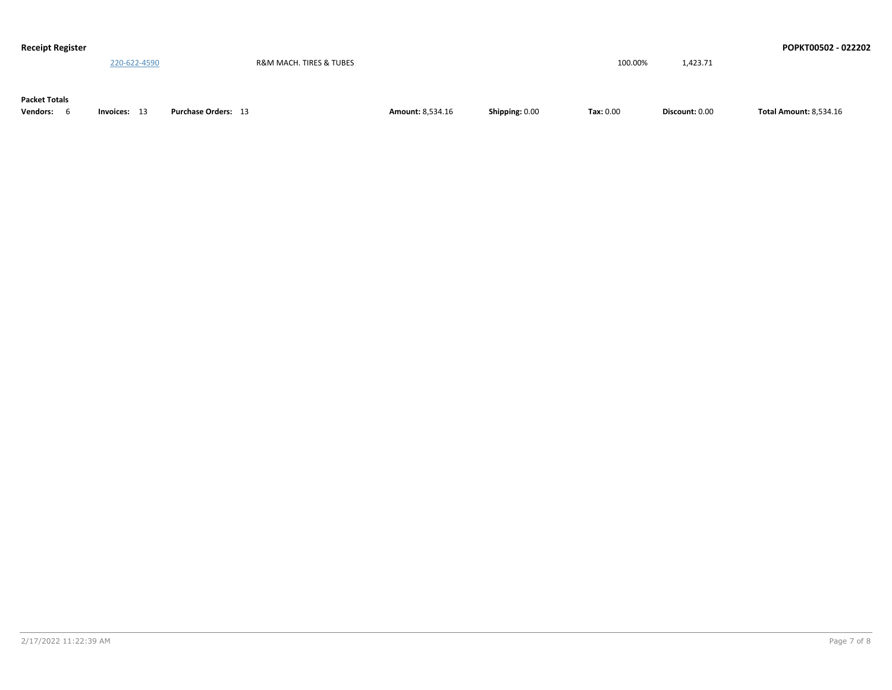| <b>Receipt Register</b> |              |                            |                         |                |           |                | POPKT00502 - 022202           |
|-------------------------|--------------|----------------------------|-------------------------|----------------|-----------|----------------|-------------------------------|
|                         | 220-622-4590 | R&M MACH. TIRES & TUBES    |                         |                | 100.00%   | 1,423.71       |                               |
|                         |              |                            |                         |                |           |                |                               |
|                         |              |                            |                         |                |           |                |                               |
| <b>Packet Totals</b>    |              |                            |                         |                |           |                |                               |
| <b>Vendors:</b>         | Invoices: 13 | <b>Purchase Orders: 13</b> | <b>Amount: 8,534.16</b> | Shipping: 0.00 | Tax: 0.00 | Discount: 0.00 | <b>Total Amount: 8,534.16</b> |